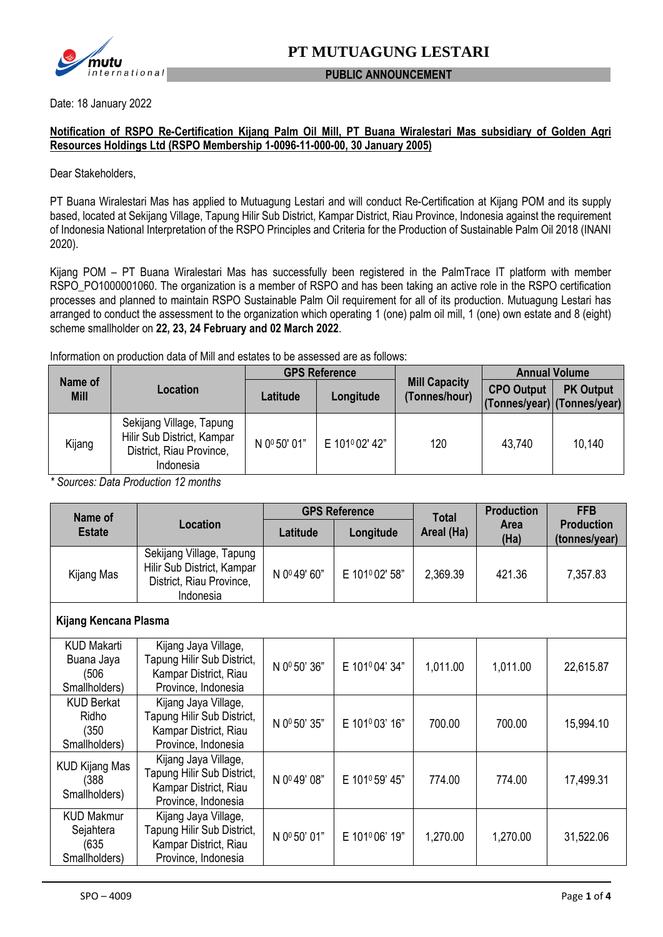

#### **PUBLIC ANNOUNCEMENT**

Date: 18 January 2022

#### **Notification of RSPO Re-Certification Kijang Palm Oil Mill, PT Buana Wiralestari Mas subsidiary of Golden Agri Resources Holdings Ltd (RSPO Membership 1-0096-11-000-00, 30 January 2005)**

Dear Stakeholders,

PT Buana Wiralestari Mas has applied to Mutuagung Lestari and will conduct Re-Certification at Kijang POM and its supply based, located at Sekijang Village, Tapung Hilir Sub District, Kampar District, Riau Province, Indonesia against the requirement of Indonesia National Interpretation of the RSPO Principles and Criteria for the Production of Sustainable Palm Oil 2018 (INANI 2020).

Kijang POM – PT Buana Wiralestari Mas has successfully been registered in the PalmTrace IT platform with member RSPO\_PO1000001060. The organization is a member of RSPO and has been taking an active role in the RSPO certification processes and planned to maintain RSPO Sustainable Palm Oil requirement for all of its production. Mutuagung Lestari has arranged to conduct the assessment to the organization which operating 1 (one) palm oil mill, 1 (one) own estate and 8 (eight) scheme smallholder on **22, 23, 24 February and 02 March 2022**.

Information on production data of Mill and estates to be assessed are as follows:

| Name of<br><b>Mill</b> | Location                                                                                        | <b>GPS Reference</b>     |               |                                       | <b>Annual Volume</b>                             |                  |
|------------------------|-------------------------------------------------------------------------------------------------|--------------------------|---------------|---------------------------------------|--------------------------------------------------|------------------|
|                        |                                                                                                 | Latitude                 | Longitude     | <b>Mill Capacity</b><br>(Tonnes/hour) | <b>CPO Output</b><br>(Tonnes/year) (Tonnes/year) | <b>PK Output</b> |
| Kijang                 | Sekijang Village, Tapung<br>Hilir Sub District, Kampar<br>District, Riau Province,<br>Indonesia | N 0 <sup>0</sup> 50' 01" | E 101º02' 42" | 120                                   | 43.740                                           | 10,140           |

*\* Sources: Data Production 12 months*

| Name of                                                    | <b>Location</b>                                                                                    | <b>GPS Reference</b> |                | <b>Total</b> | <b>Production</b>   | <b>FFB</b>                         |
|------------------------------------------------------------|----------------------------------------------------------------------------------------------------|----------------------|----------------|--------------|---------------------|------------------------------------|
| <b>Estate</b>                                              |                                                                                                    | Latitude             | Longitude      | Areal (Ha)   | <b>Area</b><br>(Ha) | <b>Production</b><br>(tonnes/year) |
| Kijang Mas                                                 | Sekijang Village, Tapung<br>Hilir Sub District, Kampar<br>District, Riau Province,<br>Indonesia    | N 0º 49' 60"         | E 101º 02' 58" | 2,369.39     | 421.36              | 7,357.83                           |
| Kijang Kencana Plasma                                      |                                                                                                    |                      |                |              |                     |                                    |
| <b>KUD Makarti</b><br>Buana Jaya<br>(506)<br>Smallholders) | Kijang Jaya Village,<br>Tapung Hilir Sub District,<br>Kampar District, Riau<br>Province, Indonesia | N 0º 50' 36"         | E 101º04' 34"  | 1,011.00     | 1,011.00            | 22,615.87                          |
| <b>KUD Berkat</b><br>Ridho<br>(350)<br>Smallholders)       | Kijang Jaya Village,<br>Tapung Hilir Sub District,<br>Kampar District, Riau<br>Province, Indonesia | N 0º 50' 35"         | E 101º03' 16"  | 700.00       | 700.00              | 15,994.10                          |
| <b>KUD Kijang Mas</b><br>(388)<br>Smallholders)            | Kijang Jaya Village,<br>Tapung Hilir Sub District,<br>Kampar District, Riau<br>Province, Indonesia | N 0º49' 08"          | E 101º 59' 45" | 774.00       | 774.00              | 17,499.31                          |
| <b>KUD Makmur</b><br>Sejahtera<br>(635)<br>Smallholders)   | Kijang Jaya Village,<br>Tapung Hilir Sub District,<br>Kampar District, Riau<br>Province, Indonesia | N 0º 50' 01"         | E 101º06' 19"  | 1,270.00     | 1,270.00            | 31,522.06                          |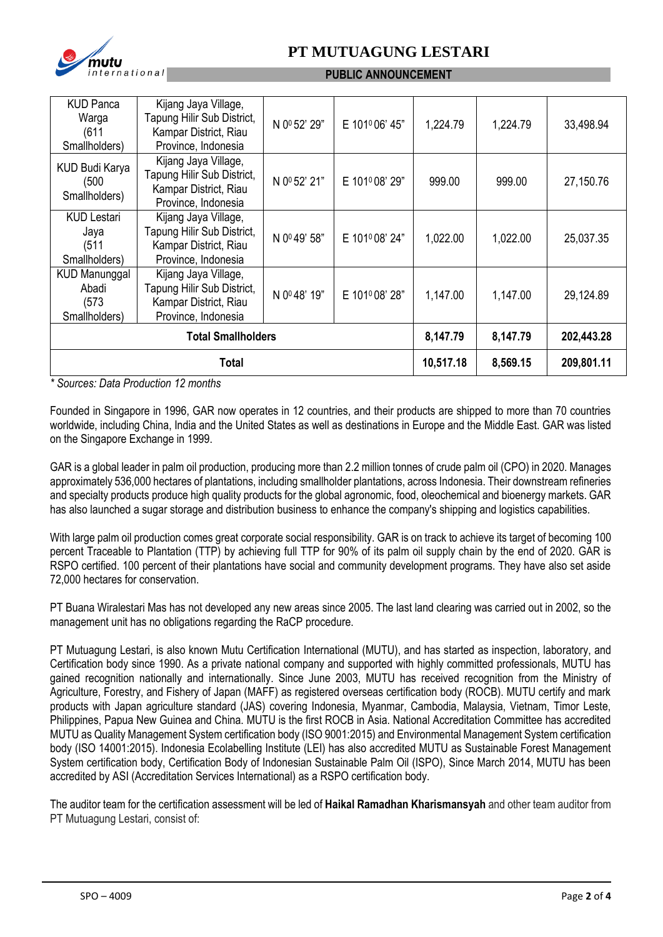

# **PT MUTUAGUNG LESTARI**

#### **PUBLIC ANNOUNCEMENT**

| <b>KUD Panca</b><br>Warga<br>(611)<br>Smallholders)     | Kijang Jaya Village,<br>Tapung Hilir Sub District,<br>Kampar District, Riau<br>Province, Indonesia | N 0º 52' 29" | E 101º06' 45" | 1,224.79 | 1,224.79   | 33,498.94 |
|---------------------------------------------------------|----------------------------------------------------------------------------------------------------|--------------|---------------|----------|------------|-----------|
| KUD Budi Karya<br>(500<br>Smallholders)                 | Kijang Jaya Village,<br>Tapung Hilir Sub District,<br>Kampar District, Riau<br>Province, Indonesia | N 0º 52' 21" | E 101º08' 29" | 999.00   | 999.00     | 27,150.76 |
| <b>KUD Lestari</b><br>Jaya<br>(511)<br>Smallholders)    | Kijang Jaya Village,<br>Tapung Hilir Sub District,<br>Kampar District, Riau<br>Province, Indonesia | N 0º49' 58"  | E 101º08' 24" | 1,022.00 | 1,022.00   | 25,037.35 |
| <b>KUD Manunggal</b><br>Abadi<br>(573)<br>Smallholders) | Kijang Jaya Village,<br>Tapung Hilir Sub District,<br>Kampar District, Riau<br>Province, Indonesia | N 0°48' 19"  | E 101º08' 28" | 1,147.00 | 1,147.00   | 29,124.89 |
| <b>Total Smallholders</b>                               |                                                                                                    |              | 8,147.79      | 8,147.79 | 202,443.28 |           |
| Total                                                   |                                                                                                    |              | 10,517.18     | 8,569.15 | 209,801.11 |           |

*\* Sources: Data Production 12 months*

Founded in Singapore in 1996, GAR now operates in 12 countries, and their products are shipped to more than 70 countries worldwide, including China, India and the United States as well as destinations in Europe and the Middle East. GAR was listed on the Singapore Exchange in 1999.

GAR is a global leader in palm oil production, producing more than 2.2 million tonnes of crude palm oil (CPO) in 2020. Manages approximately 536,000 hectares of plantations, including smallholder plantations, across Indonesia. Their downstream refineries and specialty products produce high quality products for the global agronomic, food, oleochemical and bioenergy markets. GAR has also launched a sugar storage and distribution business to enhance the company's shipping and logistics capabilities.

With large palm oil production comes great corporate social responsibility. GAR is on track to achieve its target of becoming 100 percent Traceable to Plantation (TTP) by achieving full TTP for 90% of its palm oil supply chain by the end of 2020. GAR is RSPO certified. 100 percent of their plantations have social and community development programs. They have also set aside 72,000 hectares for conservation.

PT Buana Wiralestari Mas has not developed any new areas since 2005. The last land clearing was carried out in 2002, so the management unit has no obligations regarding the RaCP procedure.

PT Mutuagung Lestari, is also known Mutu Certification International (MUTU), and has started as inspection, laboratory, and Certification body since 1990. As a private national company and supported with highly committed professionals, MUTU has gained recognition nationally and internationally. Since June 2003, MUTU has received recognition from the Ministry of Agriculture, Forestry, and Fishery of Japan (MAFF) as registered overseas certification body (ROCB). MUTU certify and mark products with Japan agriculture standard (JAS) covering Indonesia, Myanmar, Cambodia, Malaysia, Vietnam, Timor Leste, Philippines, Papua New Guinea and China. MUTU is the first ROCB in Asia. National Accreditation Committee has accredited MUTU as Quality Management System certification body (ISO 9001:2015) and Environmental Management System certification body (ISO 14001:2015). Indonesia Ecolabelling Institute (LEI) has also accredited MUTU as Sustainable Forest Management System certification body, Certification Body of Indonesian Sustainable Palm Oil (ISPO), Since March 2014, MUTU has been accredited by ASI (Accreditation Services International) as a RSPO certification body.

The auditor team for the certification assessment will be led of **Haikal Ramadhan Kharismansyah** and other team auditor from PT Mutuagung Lestari, consist of: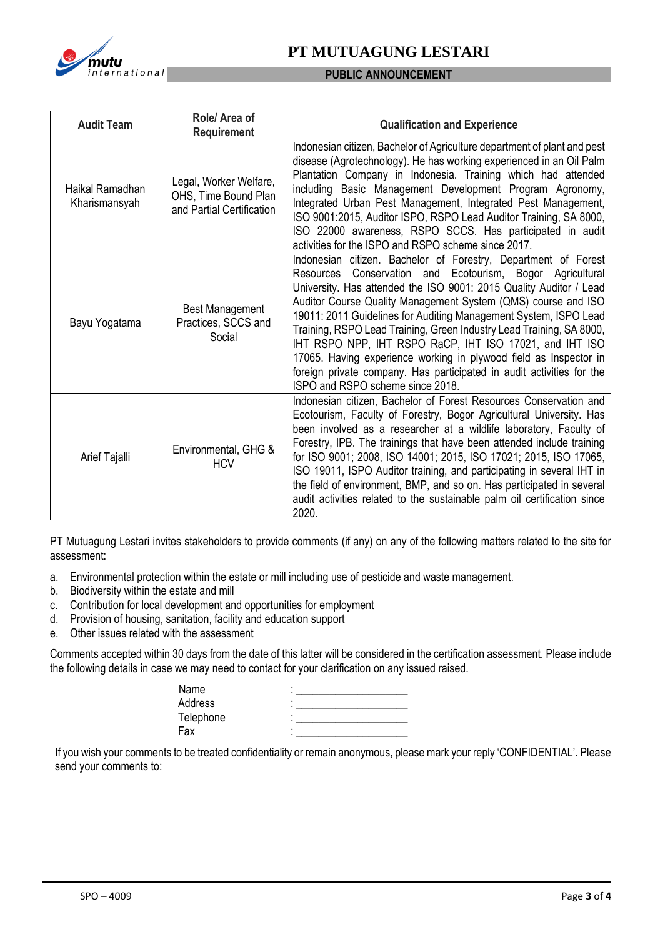

## **PT MUTUAGUNG LESTARI**

#### **PUBLIC ANNOUNCEMENT**

| <b>Audit Team</b>                | Role/ Area of<br><b>Requirement</b>                                         | <b>Qualification and Experience</b>                                                                                                                                                                                                                                                                                                                                                                                                                                                                                                                                                                                                                            |  |
|----------------------------------|-----------------------------------------------------------------------------|----------------------------------------------------------------------------------------------------------------------------------------------------------------------------------------------------------------------------------------------------------------------------------------------------------------------------------------------------------------------------------------------------------------------------------------------------------------------------------------------------------------------------------------------------------------------------------------------------------------------------------------------------------------|--|
| Haikal Ramadhan<br>Kharismansyah | Legal, Worker Welfare,<br>OHS, Time Bound Plan<br>and Partial Certification | Indonesian citizen, Bachelor of Agriculture department of plant and pest<br>disease (Agrotechnology). He has working experienced in an Oil Palm<br>Plantation Company in Indonesia. Training which had attended<br>including Basic Management Development Program Agronomy,<br>Integrated Urban Pest Management, Integrated Pest Management,<br>ISO 9001:2015, Auditor ISPO, RSPO Lead Auditor Training, SA 8000,<br>ISO 22000 awareness, RSPO SCCS. Has participated in audit<br>activities for the ISPO and RSPO scheme since 2017.                                                                                                                          |  |
| Bayu Yogatama                    | <b>Best Management</b><br>Practices, SCCS and<br>Social                     | Indonesian citizen. Bachelor of Forestry, Department of Forest<br>Conservation and Ecotourism, Bogor Agricultural<br>Resources<br>University. Has attended the ISO 9001: 2015 Quality Auditor / Lead<br>Auditor Course Quality Management System (QMS) course and ISO<br>19011: 2011 Guidelines for Auditing Management System, ISPO Lead<br>Training, RSPO Lead Training, Green Industry Lead Training, SA 8000,<br>IHT RSPO NPP, IHT RSPO RaCP, IHT ISO 17021, and IHT ISO<br>17065. Having experience working in plywood field as Inspector in<br>foreign private company. Has participated in audit activities for the<br>ISPO and RSPO scheme since 2018. |  |
| Arief Tajalli                    | Environmental, GHG &<br><b>HCV</b>                                          | Indonesian citizen, Bachelor of Forest Resources Conservation and<br>Ecotourism, Faculty of Forestry, Bogor Agricultural University. Has<br>been involved as a researcher at a wildlife laboratory, Faculty of<br>Forestry, IPB. The trainings that have been attended include training<br>for ISO 9001; 2008, ISO 14001; 2015, ISO 17021; 2015, ISO 17065,<br>ISO 19011, ISPO Auditor training, and participating in several IHT in<br>the field of environment, BMP, and so on. Has participated in several<br>audit activities related to the sustainable palm oil certification since<br>2020.                                                             |  |

PT Mutuagung Lestari invites stakeholders to provide comments (if any) on any of the following matters related to the site for assessment:

- a. Environmental protection within the estate or mill including use of pesticide and waste management.
- b. Biodiversity within the estate and mill
- c. Contribution for local development and opportunities for employment
- d. Provision of housing, sanitation, facility and education support
- e. Other issues related with the assessment

Comments accepted within 30 days from the date of this latter will be considered in the certification assessment. Please include the following details in case we may need to contact for your clarification on any issued raised.

| Name      |  |
|-----------|--|
| Address   |  |
| Telephone |  |
| Fax       |  |

If you wish your comments to be treated confidentiality or remain anonymous, please mark your reply 'CONFIDENTIAL'. Please send your comments to: